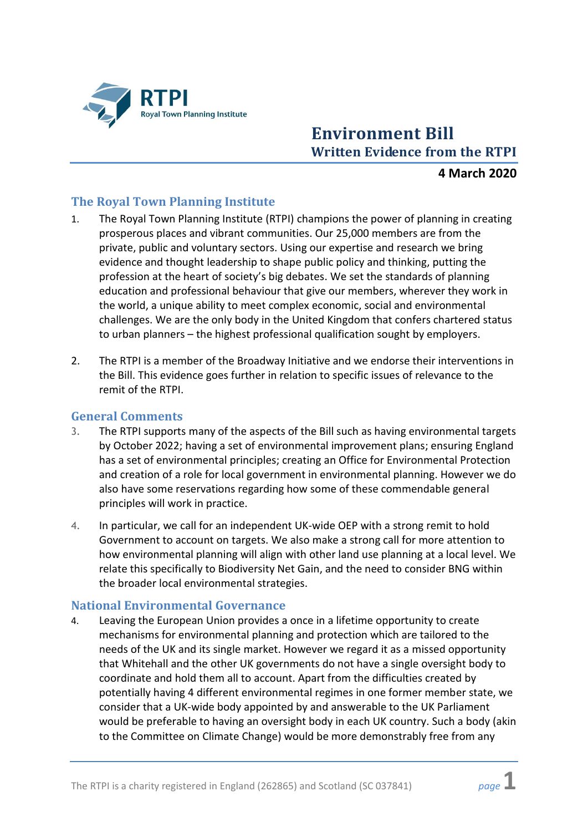

# **Environment Bill Written Evidence from the RTPI**

## **4 March 2020**

## **The Royal Town Planning Institute**

- 1. The Royal Town Planning Institute (RTPI) champions the power of planning in creating prosperous places and vibrant communities. Our 25,000 members are from the private, public and voluntary sectors. Using our expertise and research we bring evidence and thought leadership to shape public policy and thinking, putting the profession at the heart of society's big debates. We set the standards of planning education and professional behaviour that give our members, wherever they work in the world, a unique ability to meet complex economic, social and environmental challenges. We are the only body in the United Kingdom that confers chartered status to urban planners – the highest professional qualification sought by employers.
- 2. The RTPI is a member of the Broadway Initiative and we endorse their interventions in the Bill. This evidence goes further in relation to specific issues of relevance to the remit of the RTPI.

#### **General Comments**

- 3. The RTPI supports many of the aspects of the Bill such as having environmental targets by October 2022; having a set of environmental improvement plans; ensuring England has a set of environmental principles; creating an Office for Environmental Protection and creation of a role for local government in environmental planning. However we do also have some reservations regarding how some of these commendable general principles will work in practice.
- 4. In particular, we call for an independent UK-wide OEP with a strong remit to hold Government to account on targets. We also make a strong call for more attention to how environmental planning will align with other land use planning at a local level. We relate this specifically to Biodiversity Net Gain, and the need to consider BNG within the broader local environmental strategies.

#### **National Environmental Governance**

4. Leaving the European Union provides a once in a lifetime opportunity to create mechanisms for environmental planning and protection which are tailored to the needs of the UK and its single market. However we regard it as a missed opportunity that Whitehall and the other UK governments do not have a single oversight body to coordinate and hold them all to account. Apart from the difficulties created by potentially having 4 different environmental regimes in one former member state, we consider that a UK-wide body appointed by and answerable to the UK Parliament would be preferable to having an oversight body in each UK country. Such a body (akin to the Committee on Climate Change) would be more demonstrably free from any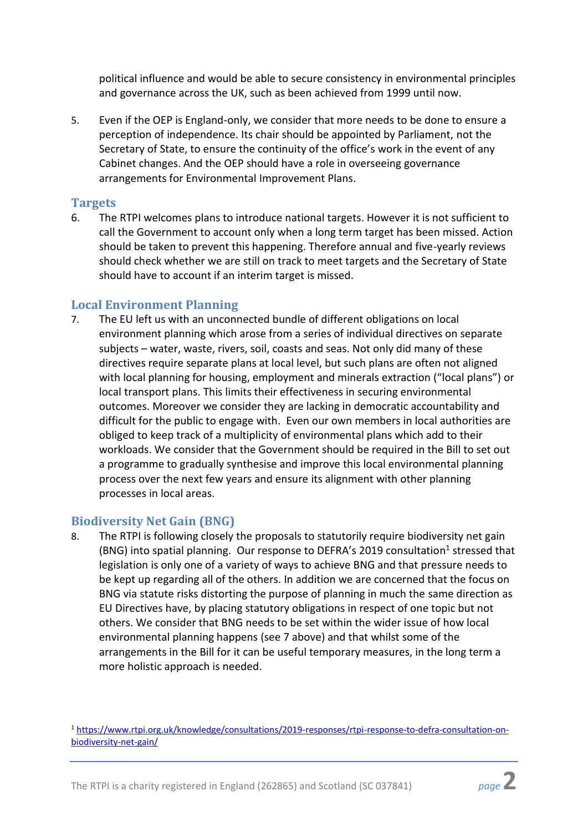political influence and would be able to secure consistency in environmental principles and governance across the UK, such as been achieved from 1999 until now.

5. Even if the OEP is England-only, we consider that more needs to be done to ensure a perception of independence. Its chair should be appointed by Parliament, not the Secretary of State, to ensure the continuity of the office's work in the event of any Cabinet changes. And the OEP should have a role in overseeing governance arrangements for Environmental Improvement Plans.

## **Targets**

6. The RTPI welcomes plans to introduce national targets. However it is not sufficient to call the Government to account only when a long term target has been missed. Action should be taken to prevent this happening. Therefore annual and five-yearly reviews should check whether we are still on track to meet targets and the Secretary of State should have to account if an interim target is missed.

# **Local Environment Planning**

7. The EU left us with an unconnected bundle of different obligations on local environment planning which arose from a series of individual directives on separate subjects – water, waste, rivers, soil, coasts and seas. Not only did many of these directives require separate plans at local level, but such plans are often not aligned with local planning for housing, employment and minerals extraction ("local plans") or local transport plans. This limits their effectiveness in securing environmental outcomes. Moreover we consider they are lacking in democratic accountability and difficult for the public to engage with. Even our own members in local authorities are obliged to keep track of a multiplicity of environmental plans which add to their workloads. We consider that the Government should be required in the Bill to set out a programme to gradually synthesise and improve this local environmental planning process over the next few years and ensure its alignment with other planning processes in local areas.

# **Biodiversity Net Gain (BNG)**

8. The RTPI is following closely the proposals to statutorily require biodiversity net gain (BNG) into spatial planning. Our response to DEFRA's 2019 consultation<sup>1</sup> stressed that legislation is only one of a variety of ways to achieve BNG and that pressure needs to be kept up regarding all of the others. In addition we are concerned that the focus on BNG via statute risks distorting the purpose of planning in much the same direction as EU Directives have, by placing statutory obligations in respect of one topic but not others. We consider that BNG needs to be set within the wider issue of how local environmental planning happens (see 7 above) and that whilst some of the arrangements in the Bill for it can be useful temporary measures, in the long term a more holistic approach is needed.

<sup>1</sup> [https://www.rtpi.org.uk/knowledge/consultations/2019-responses/rtpi-response-to-defra-consultation-on](https://www.rtpi.org.uk/knowledge/consultations/2019-responses/rtpi-response-to-defra-consultation-on-biodiversity-net-gain/)[biodiversity-net-gain/](https://www.rtpi.org.uk/knowledge/consultations/2019-responses/rtpi-response-to-defra-consultation-on-biodiversity-net-gain/)